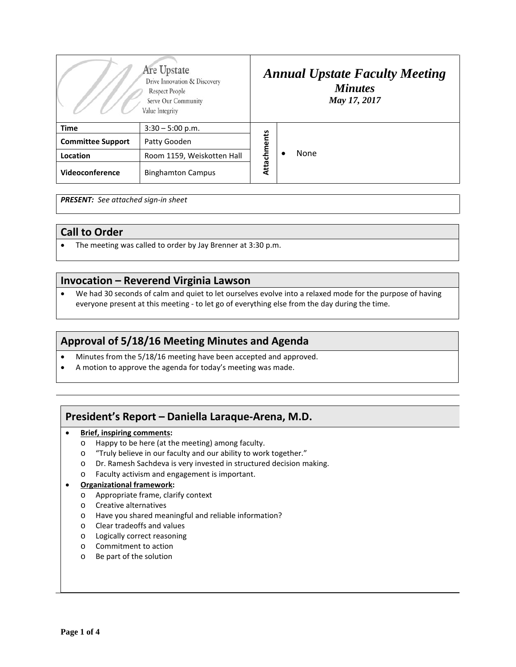| Are Upstate<br>Drive Innovation & Discovery<br>Respect People<br>Serve Our Community<br>Value Integrity |                            | <b>Annual Upstate Faculty Meeting</b><br><b>Minutes</b><br>May 17, 2017 |  |      |
|---------------------------------------------------------------------------------------------------------|----------------------------|-------------------------------------------------------------------------|--|------|
| <b>Time</b>                                                                                             | $3:30 - 5:00$ p.m.         | Attachments                                                             |  | None |
| <b>Committee Support</b>                                                                                | Patty Gooden               |                                                                         |  |      |
| Location                                                                                                | Room 1159, Weiskotten Hall |                                                                         |  |      |
| Videoconference                                                                                         | <b>Binghamton Campus</b>   |                                                                         |  |      |

*PRESENT: See attached sign-in sheet*

### **Call to Order**

• The meeting was called to order by Jay Brenner at 3:30 p.m.

### **Invocation – Reverend Virginia Lawson**

• We had 30 seconds of calm and quiet to let ourselves evolve into a relaxed mode for the purpose of having everyone present at this meeting - to let go of everything else from the day during the time.

# **Approval of 5/18/16 Meeting Minutes and Agenda**

- Minutes from the 5/18/16 meeting have been accepted and approved.
- A motion to approve the agenda for today's meeting was made.

# **President's Report – Daniella Laraque-Arena, M.D.**

- **Brief, inspiring comments:**
	- o Happy to be here (at the meeting) among faculty.
	- o "Truly believe in our faculty and our ability to work together."
	- o Dr. Ramesh Sachdeva is very invested in structured decision making.
	- o Faculty activism and engagement is important.

#### • **Organizational framework:**

- o Appropriate frame, clarify context
- o Creative alternatives
- o Have you shared meaningful and reliable information?
- o Clear tradeoffs and values
- o Logically correct reasoning
- o Commitment to action
- o Be part of the solution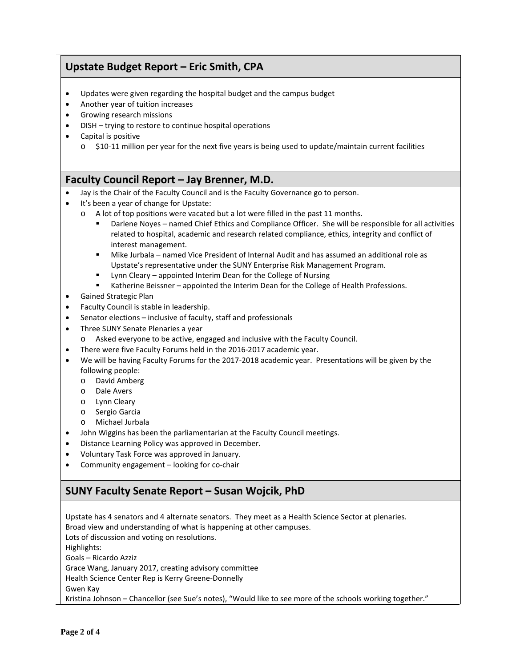# **Upstate Budget Report – Eric Smith, CPA**

- Updates were given regarding the hospital budget and the campus budget
- Another year of tuition increases
- Growing research missions
- DISH trying to restore to continue hospital operations
- Capital is positive
	- $\circ$  \$10-11 million per year for the next five years is being used to update/maintain current facilities

### **Faculty Council Report – Jay Brenner, M.D.**

- Jay is the Chair of the Faculty Council and is the Faculty Governance go to person.
- It's been a year of change for Upstate:
	- o A lot of top positions were vacated but a lot were filled in the past 11 months.
		- Darlene Noyes named Chief Ethics and Compliance Officer. She will be responsible for all activities related to hospital, academic and research related compliance, ethics, integrity and conflict of interest management.
		- Mike Jurbala named Vice President of Internal Audit and has assumed an additional role as Upstate's representative under the SUNY Enterprise Risk Management Program.
		- Lynn Cleary appointed Interim Dean for the College of Nursing
		- Katherine Beissner appointed the Interim Dean for the College of Health Professions.
- Gained Strategic Plan
- Faculty Council is stable in leadership.
- Senator elections inclusive of faculty, staff and professionals
- Three SUNY Senate Plenaries a year
	- o Asked everyone to be active, engaged and inclusive with the Faculty Council.
- There were five Faculty Forums held in the 2016-2017 academic year.
- We will be having Faculty Forums for the 2017-2018 academic year. Presentations will be given by the following people:
	- o David Amberg
	- o Dale Avers
	- o Lynn Cleary
	- o Sergio Garcia
	- o Michael Jurbala
- John Wiggins has been the parliamentarian at the Faculty Council meetings.
- Distance Learning Policy was approved in December.
- Voluntary Task Force was approved in January.
- Community engagement looking for co-chair

# **SUNY Faculty Senate Report – Susan Wojcik, PhD**

Upstate has 4 senators and 4 alternate senators. They meet as a Health Science Sector at plenaries. Broad view and understanding of what is happening at other campuses. Lots of discussion and voting on resolutions. Highlights: Goals – Ricardo Azziz Grace Wang, January 2017, creating advisory committee Health Science Center Rep is Kerry Greene-Donnelly Gwen Kay Kristina Johnson – Chancellor (see Sue's notes), "Would like to see more of the schools working together."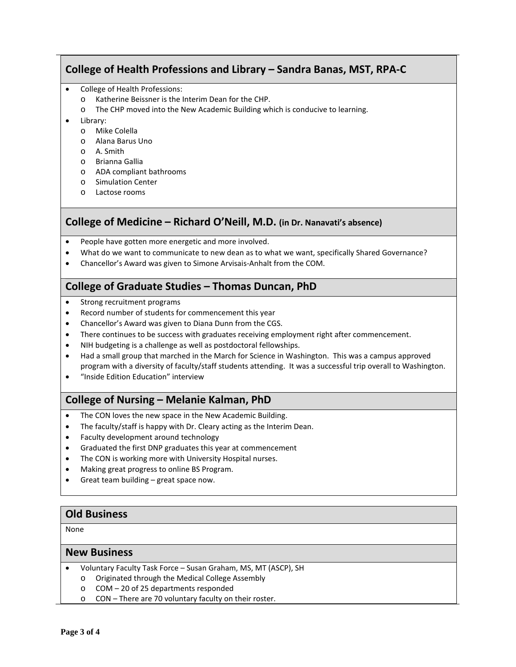# **College of Health Professions and Library – Sandra Banas, MST, RPA-C**

- College of Health Professions:
	- o Katherine Beissner is the Interim Dean for the CHP.
	- o The CHP moved into the New Academic Building which is conducive to learning.
- Library:
	- o Mike Colella
	- o Alana Barus Uno
	- o A. Smith
	- o Brianna Gallia
	- o ADA compliant bathrooms
	- o Simulation Center
	- o Lactose rooms

# **College of Medicine – Richard O'Neill, M.D. (in Dr. Nanavati's absence)**

- People have gotten more energetic and more involved.
- What do we want to communicate to new dean as to what we want, specifically Shared Governance?
- Chancellor's Award was given to Simone Arvisais-Anhalt from the COM.

# **College of Graduate Studies – Thomas Duncan, PhD**

- Strong recruitment programs
- Record number of students for commencement this year
- Chancellor's Award was given to Diana Dunn from the CGS.
- There continues to be success with graduates receiving employment right after commencement.
- NIH budgeting is a challenge as well as postdoctoral fellowships.
- Had a small group that marched in the March for Science in Washington. This was a campus approved program with a diversity of faculty/staff students attending. It was a successful trip overall to Washington.
- "Inside Edition Education" interview

# **College of Nursing – Melanie Kalman, PhD**

- The CON loves the new space in the New Academic Building.
- The faculty/staff is happy with Dr. Cleary acting as the Interim Dean.
- Faculty development around technology
- Graduated the first DNP graduates this year at commencement
- The CON is working more with University Hospital nurses.
- Making great progress to online BS Program.
- Great team building  $-$  great space now.

### **Old Business**

None

#### **New Business**

- Voluntary Faculty Task Force Susan Graham, MS, MT (ASCP), SH
	- o Originated through the Medical College Assembly
	- o COM 20 of 25 departments responded
	- o CON There are 70 voluntary faculty on their roster.